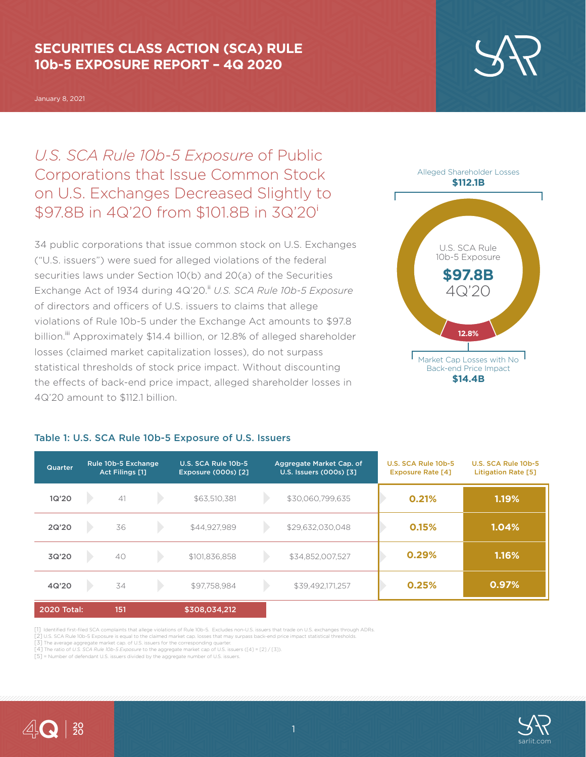### **SECURITIES CLASS ACTION (SCA) RULE 10b-5 EXPOSURE REPORT – 4Q 2020**

January 8, 2021

# *U.S. SCA Rule 10b-5 Exposure* of Public Corporations that Issue Common Stock on U.S. Exchanges Decreased Slightly to \$97.8B in 4Q'20 from \$101.8B in 3Q'20<sup>i</sup>

34 public corporations that issue common stock on U.S. Exchanges ("U.S. issuers") were sued for alleged violations of the federal securities laws under Section 10(b) and 20(a) of the Securities Exchange Act of 1934 during 4Q'20.<sup>ii</sup> U.S. SCA Rule 10b-5 Exposure of directors and officers of U.S. issuers to claims that allege violations of Rule 10b-5 under the Exchange Act amounts to \$97.8 billion.<sup>iii</sup> Approximately \$14.4 billion, or 12.8% of alleged shareholder losses (claimed market capitalization losses), do not surpass statistical thresholds of stock price impact. Without discounting the effects of back-end price impact, alleged shareholder losses in 4Q'20 amount to \$112.1 billion.

#### Table 1: U.S. SCA Rule 10b-5 Exposure of U.S. Issuers

#### Rule 10b-5 Exchange U.S. SCA Rule 10b-5 Aggregate Market Cap. of U.S. SCA Rule 10b-5 U.S. SCA Rule 10b-5 Quarter Rule 100-5 Exchai<br>[1] Act Filings Exposure (000s) [2] U.S. Issuers (000s) [3] Exposure Rate [4] Litigation Rate [5] 1Q'20  $\Delta$ 1  $\rightarrow$ \$63,510,381 \$30,060,799,635 **0.21% 1.19%**  $\mathbf{D}$ \$44,927,989 \$29,632,030,048 **0.15% 1.04%** 2Q'20 36  $\mathbf{D}$ \$101,836,858  $\rightarrow$ **0.29% 1.16%** 3Q'20  $10$ \$34,852,007,527 **0.97%**  $\rightarrow$ **0.25%** 4Q'20 34  $\blacktriangleright$ \$97,758,984 \$39,492,171,257 2020 Total: 151 \$308,034,212

[1] Identified first-filed SCA complaints that allege violations of Rule 10b-5. Excludes non-U.S. issuers that trade on U.S. exchanges through ADRs.

[2] U.S. SCA Rule 10b-5 Exposure is equal to the claimed market cap. losses that may surpass back-end price impact statistical thresholds.

[3] The average aggregate market cap. of U.S. issuers for the corresponding quarter. [4] The ratio of *U.S. SCA Rule 10b-5 Exposure* to the aggregate market cap of U.S. issuers ([4] = [2] / [3]).

[5] = Number of defendant U.S. issuers divided by the aggregate number of U.S. issuers.





Alleged Shareholder Losses



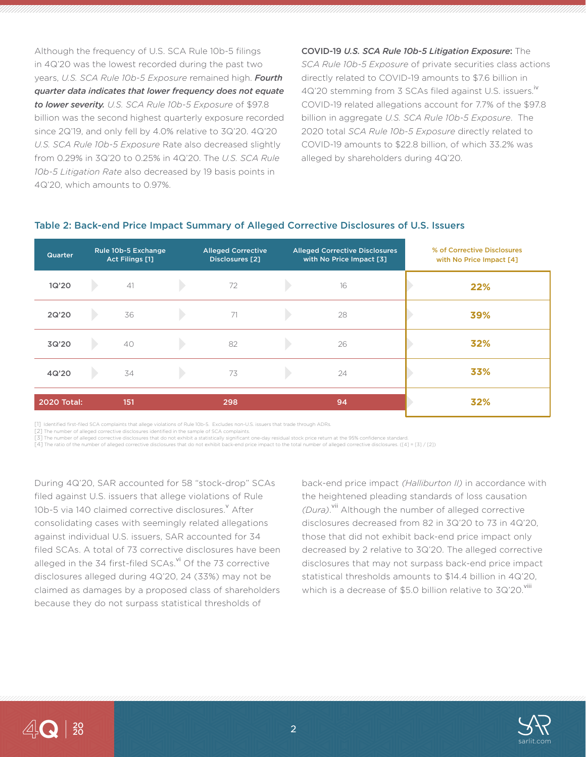Although the frequency of U.S. SCA Rule 10b-5 filings in 4Q'20 was the lowest recorded during the past two years, *U.S. SCA Rule 10b-5 Exposure* remained high. *Fourth quarter data indicates that lower frequency does not equate to lower severity. U.S. SCA Rule 10b-5 Exposure* of \$97.8 billion was the second highest quarterly exposure recorded since 2Q'19, and only fell by 4.0% relative to 3Q'20. 4Q'20 *U.S. SCA Rule 10b-5 Exposure* Rate also decreased slightly from 0.29% in 3Q'20 to 0.25% in 4Q'20. The *U.S. SCA Rule 10b-5 Litigation Rate* also decreased by 19 basis points in 4Q'20, which amounts to 0.97%.

COVID-19 *U.S. SCA Rule 10b-5 Litigation Exposure*: The *SCA Rule 10b-5 Exposure* of private securities class actions directly related to COVID-19 amounts to \$7.6 billion in 4Q'20 stemming from 3 SCAs filed against U.S. issuers.<sup>1</sup> COVID-19 related allegations account for 7.7% of the \$97.8 billion in aggregate *U.S. SCA Rule 10b-5 Exposure*. The 2020 total *SCA Rule 10b-5 Exposure* directly related to COVID-19 amounts to \$22.8 billion, of which 33.2% was alleged by shareholders during 4Q'20.

| <b>Quarter</b>     | Rule 10b-5 Exchange<br>Act Filings [1] | <b>Alleged Corrective</b><br>Disclosures [2] | <b>Alleged Corrective Disclosures</b><br>with No Price Impact [3] | % of Corrective Disclosures<br>with No Price Impact [4] |
|--------------------|----------------------------------------|----------------------------------------------|-------------------------------------------------------------------|---------------------------------------------------------|
| 1Q'20              | 41                                     | 72                                           | 16                                                                | 22%                                                     |
| 2Q'20              | 36                                     | 71                                           | 28                                                                | 39%                                                     |
| 3Q'20              | 40                                     | 82                                           | 26                                                                | 32%                                                     |
| 4Q'20              | 34                                     | 73                                           | 24                                                                | 33%                                                     |
| <b>2020 Total:</b> | 151                                    | 298                                          | 94                                                                | 32%                                                     |

#### Table 2: Back-end Price Impact Summary of Alleged Corrective Disclosures of U.S. Issuers

[1] Identified first-filed SCA complaints that allege violations of Rule 10b-5. Excludes non-U.S. issuers that trade through ADRs.

 $\overline{[2]}$  The number of alleged corrective disclosures identified in the sample of SCA complaints.

[3] The number of alleged corrective disclosures that do not exhibit a statistically significant one-day residual stock price return at the 95% confidence standard.

[4] The ratio of the number of alleged corrective disclosures that do not exhibit back-end price impact to the total number of alleged corrective disclosures. ([4] = [3] / [2])

During 4Q'20, SAR accounted for 58 "stock-drop" SCAs filed against U.S. issuers that allege violations of Rule 10b-5 via 140 claimed corrective disclosures. After consolidating cases with seemingly related allegations against individual U.S. issuers, SAR accounted for 34 filed SCAs. A total of 73 corrective disclosures have been alleged in the 34 first-filed SCAs.<sup>vi</sup> Of the 73 corrective disclosures alleged during 4Q'20, 24 (33%) may not be claimed as damages by a proposed class of shareholders because they do not surpass statistical thresholds of

back-end price impact *(Halliburton II)* in accordance with the heightened pleading standards of loss causation *(Dura)*. vii Although the number of alleged corrective disclosures decreased from 82 in 3Q'20 to 73 in 4Q'20, those that did not exhibit back-end price impact only decreased by 2 relative to 3Q'20. The alleged corrective disclosures that may not surpass back-end price impact statistical thresholds amounts to \$14.4 billion in 4Q'20, which is a decrease of \$5.0 billion relative to  $3Q'2O$ . Vill

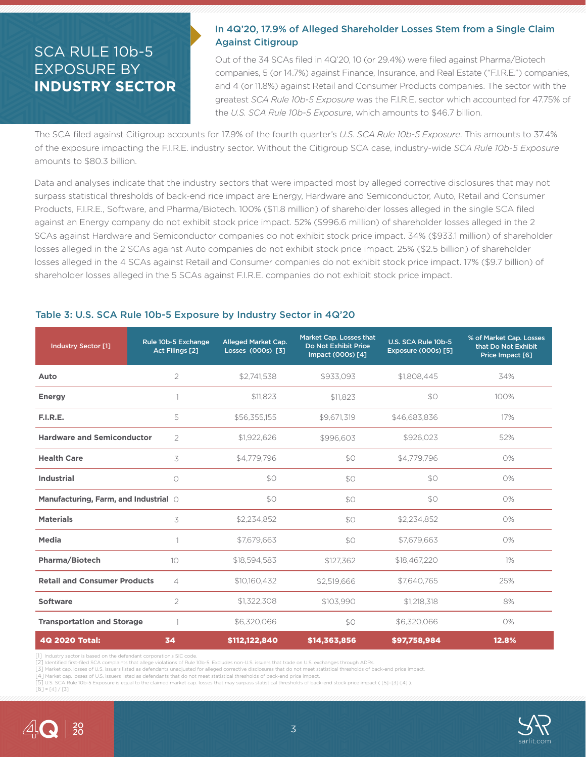### SCA RULE 10b-5 EXPOSURE BY **INDUSTRY SECTOR**

### In 4Q'20, 17.9% of Alleged Shareholder Losses Stem from a Single Claim Against Citigroup

Out of the 34 SCAs filed in 4Q'20, 10 (or 29.4%) were filed against Pharma/Biotech companies, 5 (or 14.7%) against Finance, Insurance, and Real Estate ("F.I.R.E.") companies, and 4 (or 11.8%) against Retail and Consumer Products companies. The sector with the greatest *SCA Rule 10b-5 Exposure* was the F.I.R.E. sector which accounted for 47.75% of the *U.S. SCA Rule 10b-5 Exposure*, which amounts to \$46.7 billion.

The SCA filed against Citigroup accounts for 17.9% of the fourth quarter's *U.S. SCA Rule 10b-5 Exposure*. This amounts to 37.4% of the exposure impacting the F.I.R.E. industry sector. Without the Citigroup SCA case, industry-wide *SCA Rule 10b-5 Exposure* amounts to \$80.3 billion.

Data and analyses indicate that the industry sectors that were impacted most by alleged corrective disclosures that may not surpass statistical thresholds of back-end rice impact are Energy, Hardware and Semiconductor, Auto, Retail and Consumer Products, F.I.R.E., Software, and Pharma/Biotech. 100% (\$11.8 million) of shareholder losses alleged in the single SCA filed against an Energy company do not exhibit stock price impact. 52% (\$996.6 million) of shareholder losses alleged in the 2 SCAs against Hardware and Semiconductor companies do not exhibit stock price impact. 34% (\$933.1 million) of shareholder losses alleged in the 2 SCAs against Auto companies do not exhibit stock price impact. 25% (\$2.5 billion) of shareholder losses alleged in the 4 SCAs against Retail and Consumer companies do not exhibit stock price impact. 17% (\$9.7 billion) of shareholder losses alleged in the 5 SCAs against F.I.R.E. companies do not exhibit stock price impact.

| <b>Industry Sector [1]</b>            | Rule 10b-5 Exchange<br>Act Filings [2] | Alleged Market Cap.<br>Losses (000s) [3] | Market Cap. Losses that<br>Do Not Exhibit Price<br>Impact (000s) [4] | U.S. SCA Rule 10b-5<br>Exposure (000s) [5] | % of Market Cap. Losses<br>that Do Not Exhibit<br>Price Impact [6] |
|---------------------------------------|----------------------------------------|------------------------------------------|----------------------------------------------------------------------|--------------------------------------------|--------------------------------------------------------------------|
| Auto                                  | 2                                      | \$2,741,538                              | \$933,093                                                            | \$1,808,445                                | 34%                                                                |
| <b>Energy</b>                         | 1                                      | \$11,823                                 | \$11.823                                                             | \$0                                        | 100%                                                               |
| F.I.R.E.                              | 5                                      | \$56,355,155                             | \$9,671,319                                                          | \$46,683,836                               | 17%                                                                |
| <b>Hardware and Semiconductor</b>     | $\overline{2}$                         | \$1,922,626                              | \$996,603                                                            | \$926,023                                  | 52%                                                                |
| <b>Health Care</b>                    | 3                                      | \$4,779,796                              | \$O                                                                  | \$4,779,796                                | 0%                                                                 |
| <b>Industrial</b>                     | $\circ$                                | \$0                                      | \$O                                                                  | \$0                                        | 0%                                                                 |
| Manufacturing, Farm, and Industrial O |                                        | \$0                                      | \$0                                                                  | \$0                                        | 0%                                                                 |
| <b>Materials</b>                      | 3                                      | \$2,234,852                              | \$0                                                                  | \$2,234,852                                | 0%                                                                 |
| Media                                 | 1                                      | \$7,679,663                              | \$O                                                                  | \$7,679,663                                | 0%                                                                 |
| Pharma/Biotech                        | 10 <sup>°</sup>                        | \$18,594,583                             | \$127,362                                                            | \$18,467,220                               | $1\%$                                                              |
| <b>Retail and Consumer Products</b>   | $\overline{4}$                         | \$10,160,432                             | \$2,519,666                                                          | \$7.640.765                                | 25%                                                                |
| <b>Software</b>                       | 2                                      | \$1,322,308                              | \$103.990                                                            | \$1,218,318                                | 8%                                                                 |
| <b>Transportation and Storage</b>     | 1                                      | \$6,320,066                              | \$0                                                                  | \$6,320,066                                | 0%                                                                 |
| 4Q 2020 Total:                        | 34                                     | \$112,122,840                            | \$14,363,856                                                         | \$97,758,984                               | 12.8%                                                              |

#### Table 3: U.S. SCA Rule 10b-5 Exposure by Industry Sector in 4Q'20

[1] Industry sector is based on the defendant corporation's SIC code.

[2] Identified first-filed SCA complaints that allege violations of Rule 10b-5. Excludes non-U.S. issuers that trade on U.S. exchanges through ADRs.

[3] Market cap. losses of U.S. issuers listed as defendants unadjusted for alleged corrective disclosures that do not meet statistical thresholds of back-end price impact. [4] Market cap. losses of U.S. issuers listed as defendants that do not meet statistical thresholds of back-end price impact.

[5] U.S. SCA Rule 10b-5 Exposure is equal to the claimed market cap. losses that may surpass statistical thresholds of back-end stock price impact ( [5]=[3]-[4] ).

 $[6] = [4]/[3]$ 

20

4Q

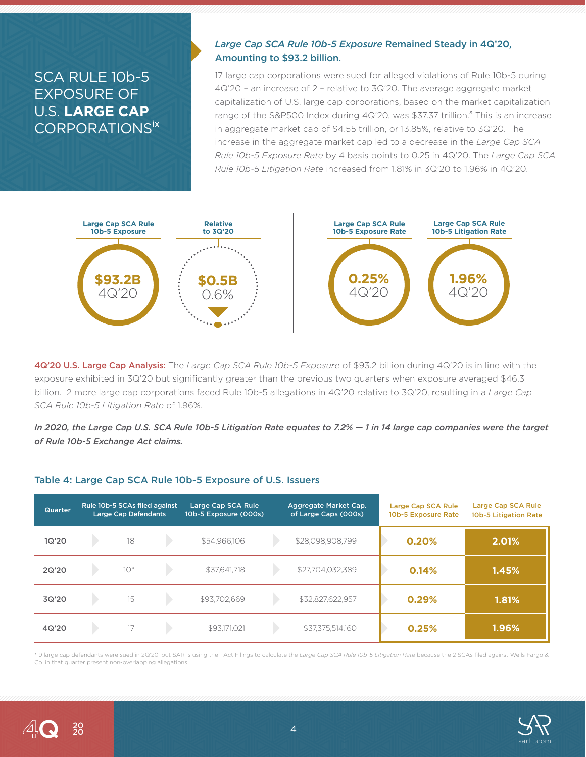## SCA RULE 10b-5 EXPOSURE OF U.S. **LARGE CAP** CORPORATIONSix

#### *Large Cap SCA Rule 10b-5 Exposure* Remained Steady in 4Q'20, Amounting to \$93.2 billion.

17 large cap corporations were sued for alleged violations of Rule 10b-5 during 4Q'20 – an increase of 2 – relative to 3Q'20. The average aggregate market capitalization of U.S. large cap corporations, based on the market capitalization range of the S&P500 Index during  $4Q'2O$ , was \$37.37 trillion.<sup>x</sup> This is an increase in aggregate market cap of \$4.55 trillion, or 13.85%, relative to 3Q'20. The increase in the aggregate market cap led to a decrease in the *Large Cap SCA Rule 10b-5 Exposure Rate* by 4 basis points to 0.25 in 4Q'20. The *Large Cap SCA Rule 10b-5 Litigation Rate* increased from 1.81% in 3Q'20 to 1.96% in 4Q'20.



4Q'20 U.S. Large Cap Analysis: The *Large Cap SCA Rule 10b-5 Exposure* of \$93.2 billion during 4Q'20 is in line with the exposure exhibited in 3Q'20 but significantly greater than the previous two quarters when exposure averaged \$46.3 billion. 2 more large cap corporations faced Rule 10b-5 allegations in 4Q'20 relative to 3Q'20, resulting in a *Large Cap SCA Rule 10b-5 Litigation Rate* of 1.96%.

In 2020, the Large Cap U.S. SCA Rule 10b-5 Litigation Rate equates to 7.2%  $-1$  in 14 large cap companies were the target *of Rule 10b-5 Exchange Act claims.*

#### Table 4: Large Cap SCA Rule 10b-5 Exposure of U.S. Issuers

| Quarter | Rule 10b-5 SCAs filed against<br><b>Large Cap Defendants</b> | Large Cap SCA Rule<br>10b-5 Exposure (000s) | Aggregate Market Cap.<br>of Large Caps (000s) | Large Cap SCA Rule<br>10b-5 Exposure Rate | Large Cap SCA Rule<br>10b-5 Litigation Rate |
|---------|--------------------------------------------------------------|---------------------------------------------|-----------------------------------------------|-------------------------------------------|---------------------------------------------|
| 1Q'20   | 18                                                           | \$54,966,106                                | \$28,098,908,799                              | 0.20%                                     | 2.01%                                       |
| 2Q'20   | $10*$                                                        | \$37.641.718                                | \$27,704,032,389                              | 0.14%                                     | 1.45%                                       |
| 3Q'20   | 15                                                           | \$93,702,669                                | \$32,827,622,957                              | 0.29%                                     | 1.81%                                       |
| 4Q'20   | 17                                                           | \$93,171,021                                | \$37,375,514,160                              | 0.25%                                     | 1.96%                                       |

\* 9 large cap defendants were sued in 2Q'20, but SAR is using the 1 Act Filings to calculate the *Large Cap SCA Rule 10b-5 Litigation Rate* because the 2 SCAs filed against Wells Fargo & Co. in that quarter present non-overlapping allegations



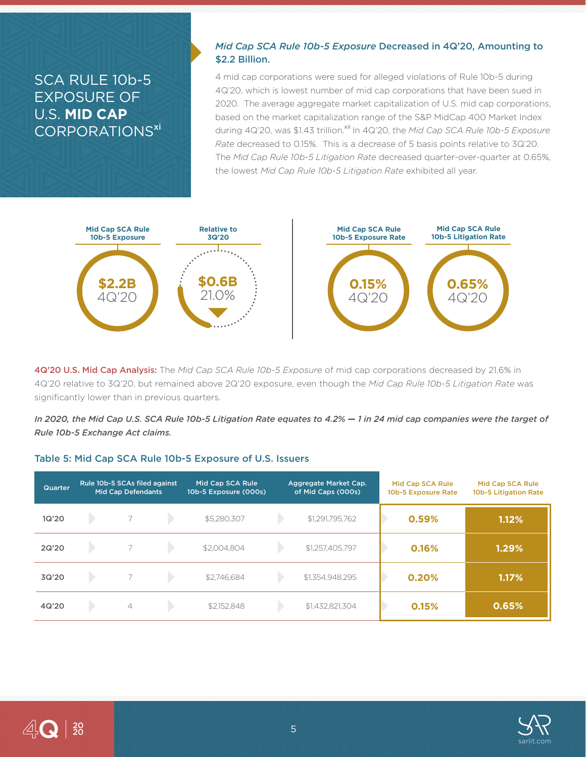## SCA RULE 10b-5 EXPOSURE OF U.S. **MID CAP** CORPORATIONS<sup>xi</sup>

#### *Mid Cap SCA Rule 10b-5 Exposure* Decreased in 4Q'20, Amounting to \$2.2 Billion.

4 mid cap corporations were sued for alleged violations of Rule 10b-5 during 4Q'20, which is lowest number of mid cap corporations that have been sued in 2020. The average aggregate market capitalization of U.S. mid cap corporations, based on the market capitalization range of the S&P MidCap 400 Market Index during 4Q'20, was \$1.43 trillion.<sup>xii</sup> In 4Q'20, the *Mid Cap SCA Rule 10b-5 Exposure Rate* decreased to 0.15%. This is a decrease of 5 basis points relative to 3Q'20. The *Mid Cap Rule 10b-5 Litigation Rate* decreased quarter-over-quarter at 0.65%, the lowest *Mid Cap Rule 10b-5 Litigation Rate* exhibited all year.



4Q'20 U.S. Mid Cap Analysis: The *Mid Cap SCA Rule 10b-5 Exposure* of mid cap corporations decreased by 21.6% in 4Q'20 relative to 3Q'20, but remained above 2Q'20 exposure, even though the *Mid Cap Rule 10b-5 Litigation Rate* was significantly lower than in previous quarters.

In 2020, the Mid Cap U.S. SCA Rule 10b-5 Litigation Rate equates to 4.2%  $-1$  in 24 mid cap companies were the target of *Rule 10b-5 Exchange Act claims.*

#### Table 5: Mid Cap SCA Rule 10b-5 Exposure of U.S. Issuers

| Quarter | Rule 10b-5 SCAs filed against<br><b>Mid Cap Defendants</b> |   | Mid Cap SCA Rule<br>10b-5 Exposure (000s) |             | Aggregate Market Cap.<br>of Mid Caps (000s) | Mid Cap SCA Rule<br>10b-5 Exposure Rate | Mid Cap SCA Rule<br>10b-5 Litigation Rate |       |
|---------|------------------------------------------------------------|---|-------------------------------------------|-------------|---------------------------------------------|-----------------------------------------|-------------------------------------------|-------|
| 1Q'20   |                                                            |   |                                           | \$5,280,307 |                                             | \$1,291,795,762                         | 0.59%                                     | 1.12% |
| 2Q'20   |                                                            |   |                                           | \$2,004.804 |                                             | \$1,257,405,797                         | 0.16%                                     | 1.29% |
| 3Q'20   |                                                            |   |                                           | \$2.746.684 |                                             | \$1,354,948,295                         | 0.20%                                     | 1.17% |
| 4Q'20   |                                                            | 4 |                                           | \$2,152,848 |                                             | \$1,432,821,304                         | 0.15%                                     | 0.65% |

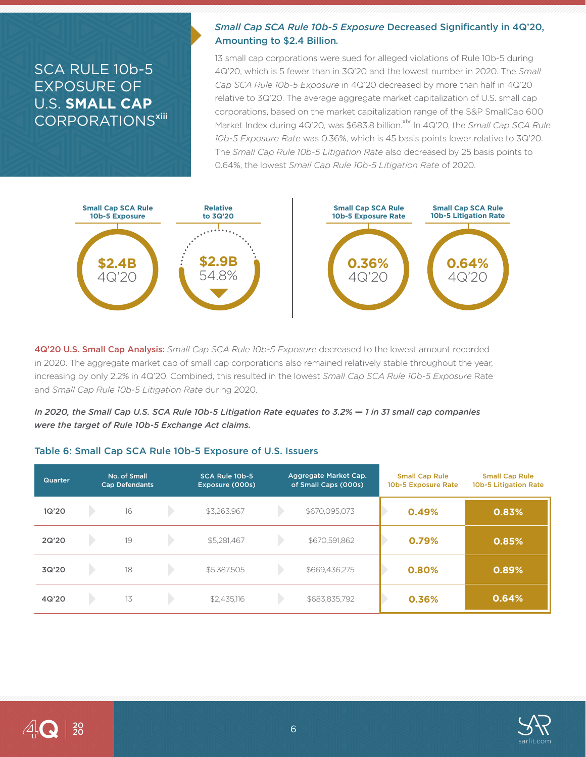### SCA RULE 10b-5 EXPOSURE OF U.S. **SMALL CAP** CORPORATIONS<sup>xiii</sup>

### *Small Cap SCA Rule 10b-5 Exposure* Decreased Significantly in 4Q'20, Amounting to \$2.4 Billion*.*

13 small cap corporations were sued for alleged violations of Rule 10b-5 during 4Q'20, which is 5 fewer than in 3Q'20 and the lowest number in 2020. The *Small Cap SCA Rule 10b-5 Exposure* in 4Q'20 decreased by more than half in 4Q'20 relative to 3Q'20. The average aggregate market capitalization of U.S. small cap corporations, based on the market capitalization range of the S&P SmallCap 600 Market Index during 4Q'20, was \$683.8 billion.<sup>xiv</sup> In 4Q'20, the *Small Cap SCA Rule 10b-5 Exposure Rate* was 0.36%, which is 45 basis points lower relative to 3Q'20. The *Small Cap Rule 10b-5 Litigation Rate* also decreased by 25 basis points to 0.64%, the lowest *Small Cap Rule 10b-5 Litigation Rate* of 2020.



4Q'20 U.S. Small Cap Analysis: *Small Cap SCA Rule 10b-5 Exposure* decreased to the lowest amount recorded in 2020. The aggregate market cap of small cap corporations also remained relatively stable throughout the year, increasing by only 2.2% in 4Q'20. Combined, this resulted in the lowest *Small Cap SCA Rule 10b-5 Exposure* Rate and *Small Cap Rule 10b-5 Litigation Rate* during 2020.

*In 2020, the Small Cap U.S. SCA Rule 10b-5 Litigation Rate equates to 3.2%*  $-$  *1 in 31 small cap companies were the target of Rule 10b-5 Exchange Act claims.*

#### Table 6: Small Cap SCA Rule 10b-5 Exposure of U.S. Issuers

| Quarter | No. of Small<br><b>Cap Defendants</b> | SCA Rule 10b-5<br>Exposure (000s) | Aggregate Market Cap.<br>of Small Caps (000s) | <b>Small Cap Rule</b><br>10b-5 Exposure Rate | <b>Small Cap Rule</b><br>10b-5 Litigation Rate |
|---------|---------------------------------------|-----------------------------------|-----------------------------------------------|----------------------------------------------|------------------------------------------------|
| 1Q'20   | 16                                    | \$3,263,967                       | \$670,095,073                                 | 0.49%                                        | 0.83%                                          |
| 2Q'20   | 19                                    | \$5,281,467                       | \$670,591,862                                 | 0.79%                                        | 0.85%                                          |
| 3Q'20   | 18                                    | \$5,387,505                       | \$669,436,275                                 | 0.80%                                        | 0.89%                                          |
| 4Q'20   | 13                                    | \$2,435,116                       | \$683,835,792                                 | 0.36%                                        | 0.64%                                          |

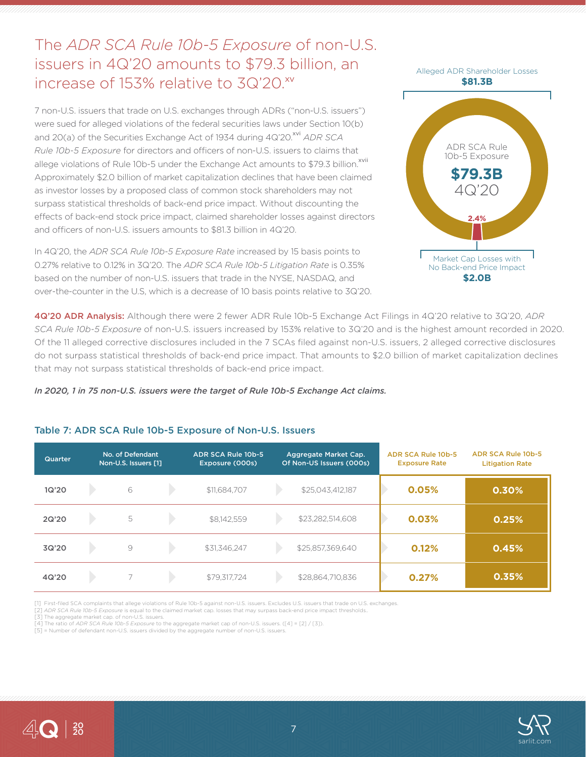The *ADR SCA Rule 10b-5 Exposure* of non-U.S. issuers in 4Q'20 amounts to \$79.3 billion, an increase of 153% relative to 3Q'20.xv

7 non-U.S. issuers that trade on U.S. exchanges through ADRs ("non-U.S. issuers") were sued for alleged violations of the federal securities laws under Section 10(b) and 20(a) of the Securities Exchange Act of 1934 during 4Q'20.<sup>xvi</sup> ADR SCA *Rule 10b-5 Exposure* for directors and officers of non-U.S. issuers to claims that allege violations of Rule 10b-5 under the Exchange Act amounts to \$79.3 billion.<sup>xvii</sup> Approximately \$2.0 billion of market capitalization declines that have been claimed as investor losses by a proposed class of common stock shareholders may not surpass statistical thresholds of back-end price impact. Without discounting the effects of back-end stock price impact, claimed shareholder losses against directors and officers of non-U.S. issuers amounts to \$81.3 billion in 4Q'20.

In 4Q'20, the *ADR SCA Rule 10b-5 Exposure Rate* increased by 15 basis points to 0.27% relative to 0.12% in 3Q'20. The *ADR SCA Rule 10b-5 Litigation Rate* is 0.35% based on the number of non-U.S. issuers that trade in the NYSE, NASDAQ, and over-the-counter in the U.S, which is a decrease of 10 basis points relative to 3Q'20.



4Q'20 ADR Analysis: Although there were 2 fewer ADR Rule 10b-5 Exchange Act Filings in 4Q'20 relative to 3Q'20, *ADR SCA Rule 10b-5 Exposure* of non-U.S. issuers increased by 153% relative to 3Q'20 and is the highest amount recorded in 2020. Of the 11 alleged corrective disclosures included in the 7 SCAs filed against non-U.S. issuers, 2 alleged corrective disclosures do not surpass statistical thresholds of back-end price impact. That amounts to \$2.0 billion of market capitalization declines that may not surpass statistical thresholds of back-end price impact.

*In 2020, 1 in 75 non-U.S. issuers were the target of Rule 10b-5 Exchange Act claims.*

#### Table 7: ADR SCA Rule 10b-5 Exposure of Non-U.S. Issuers

| Quarter | No. of Defendant<br>Non-U.S. Issuers [1] | ADR SCA Rule 10b-5<br>Exposure (000s) | Aggregate Market Cap.<br>Of Non-US Issuers (000s) | <b>ADR SCA Rule 10b-5</b><br><b>Exposure Rate</b> | <b>ADR SCA Rule 10b-5</b><br><b>Litigation Rate</b> |
|---------|------------------------------------------|---------------------------------------|---------------------------------------------------|---------------------------------------------------|-----------------------------------------------------|
| 1Q'20   | 6                                        | \$11,684,707                          | \$25,043,412,187                                  | 0.05%                                             | 0.30%                                               |
| 2Q'20   | 5                                        | \$8,142,559                           | \$23,282,514,608                                  | 0.03%                                             | 0.25%                                               |
| 3Q'20   | $\Theta$                                 | \$31,346,247                          | \$25,857,369,640                                  | 0.12%                                             | 0.45%                                               |
| 4Q'20   |                                          | \$79,317,724                          | \$28,864,710,836                                  | 0.27%                                             | 0.35%                                               |

[1] First-filed SCA complaints that allege violations of Rule 10b-5 against non-U.S. issuers. Excludes U.S. issuers that trade on U.S. exchanges.

[2] *ADR SCA Rule 10b-5 Exposure* is equal to the claimed market cap. losses that may surpass back-end price impact thresholds..

[3] The aggregate market cap. of non-U.S. issuers.

[4] The ratio of *ADR SCA Rule 10b-5 Exposure* to the aggregate market cap of non-U.S. issuers. ([4] = [2] / [3]).

[5] = Number of defendant non-U.S. issuers divided by the aggregate number of non-U.S. issuers.



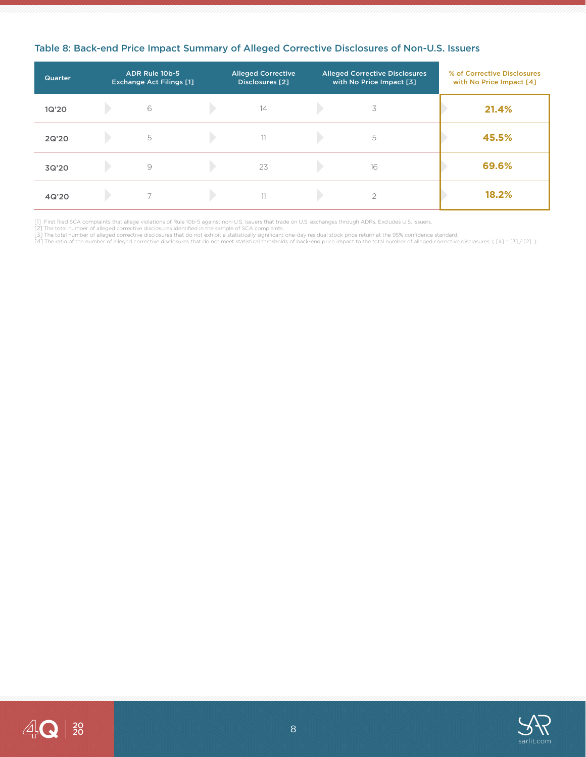| Quarter | ADR Rule 10b-5<br><b>Exchange Act Filings [1]</b> | <b>Alleged Corrective</b><br><b>Disclosures</b> [2] | <b>Alleged Corrective Disclosures</b><br>with No Price Impact [3] | % of Corrective Disclosures<br>with No Price Impact [4] |
|---------|---------------------------------------------------|-----------------------------------------------------|-------------------------------------------------------------------|---------------------------------------------------------|
| 1Q'20   | 6                                                 | 14                                                  | 3                                                                 | 21.4%                                                   |
| 2Q'20   | 5                                                 | 11                                                  | 5                                                                 | 45.5%                                                   |
| 3Q'20   | 9                                                 | 23                                                  | 16                                                                | 69.6%                                                   |
| 4Q'20   |                                                   | 11                                                  |                                                                   | 18.2%                                                   |

#### Table 8: Back-end Price Impact Summary of Alleged Corrective Disclosures of Non-U.S. Issuers

[1] First filed SCA complaints that allege violations of Rule 10b-5 against non-U.S. issuers that trade on U.S. exchanges through ADRs. Excludes U.S. issuers.<br>[2] The total number of alleged corrective disclosures identifi